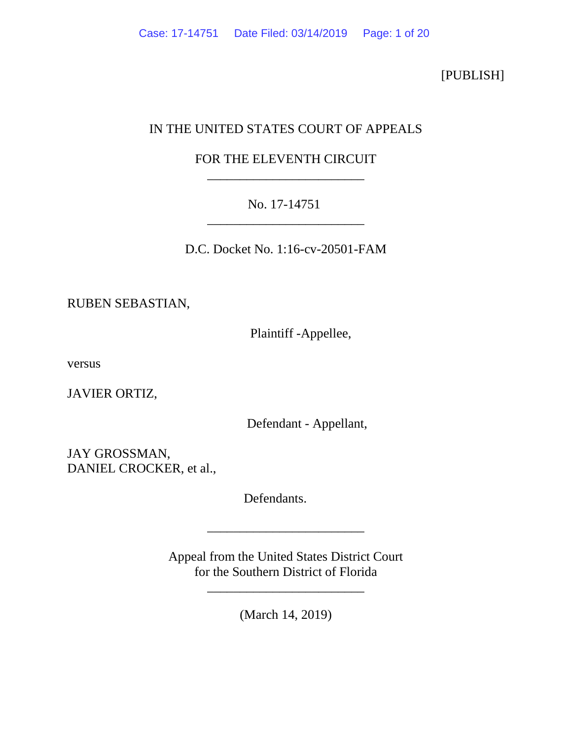[PUBLISH]

# IN THE UNITED STATES COURT OF APPEALS

## FOR THE ELEVENTH CIRCUIT \_\_\_\_\_\_\_\_\_\_\_\_\_\_\_\_\_\_\_\_\_\_\_\_

## No. 17-14751 \_\_\_\_\_\_\_\_\_\_\_\_\_\_\_\_\_\_\_\_\_\_\_\_

D.C. Docket No. 1:16-cv-20501-FAM

RUBEN SEBASTIAN,

Plaintiff -Appellee,

versus

JAVIER ORTIZ,

Defendant - Appellant,

JAY GROSSMAN, DANIEL CROCKER, et al.,

Defendants.

Appeal from the United States District Court for the Southern District of Florida

(March 14, 2019)

\_\_\_\_\_\_\_\_\_\_\_\_\_\_\_\_\_\_\_\_\_\_\_\_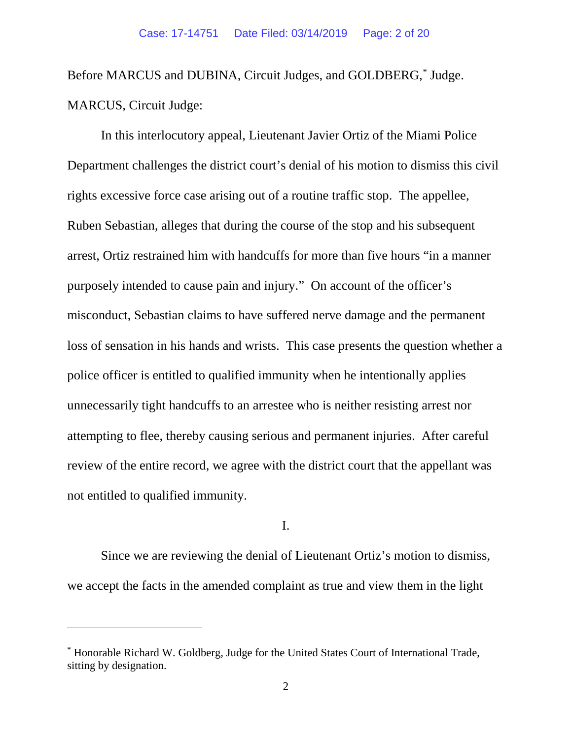Before MARCUS and DUBINA, Circuit Judges, and GOLDBERG,[\\*](#page-1-0) Judge. MARCUS, Circuit Judge:

In this interlocutory appeal, Lieutenant Javier Ortiz of the Miami Police Department challenges the district court's denial of his motion to dismiss this civil rights excessive force case arising out of a routine traffic stop. The appellee, Ruben Sebastian, alleges that during the course of the stop and his subsequent arrest, Ortiz restrained him with handcuffs for more than five hours "in a manner purposely intended to cause pain and injury." On account of the officer's misconduct, Sebastian claims to have suffered nerve damage and the permanent loss of sensation in his hands and wrists. This case presents the question whether a police officer is entitled to qualified immunity when he intentionally applies unnecessarily tight handcuffs to an arrestee who is neither resisting arrest nor attempting to flee, thereby causing serious and permanent injuries. After careful review of the entire record, we agree with the district court that the appellant was not entitled to qualified immunity.

I.

Since we are reviewing the denial of Lieutenant Ortiz's motion to dismiss, we accept the facts in the amended complaint as true and view them in the light

 $\overline{a}$ 

<span id="page-1-0"></span><sup>\*</sup> Honorable Richard W. Goldberg, Judge for the United States Court of International Trade, sitting by designation.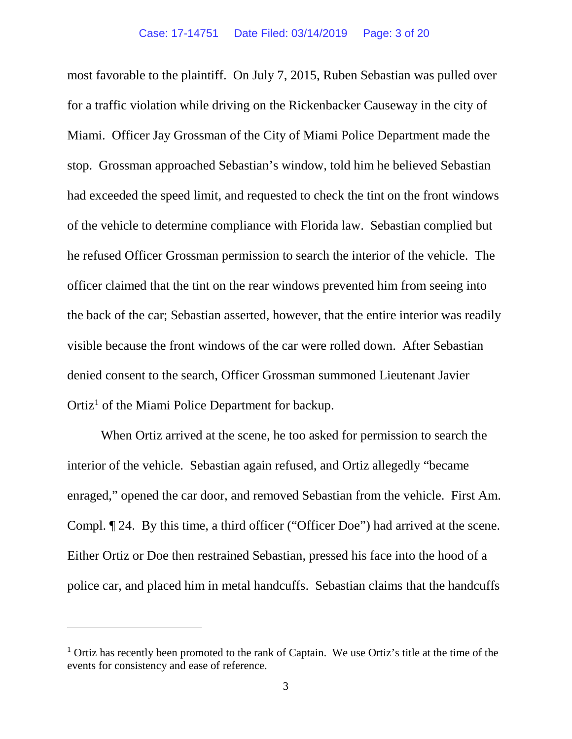most favorable to the plaintiff. On July 7, 2015, Ruben Sebastian was pulled over for a traffic violation while driving on the Rickenbacker Causeway in the city of Miami. Officer Jay Grossman of the City of Miami Police Department made the stop. Grossman approached Sebastian's window, told him he believed Sebastian had exceeded the speed limit, and requested to check the tint on the front windows of the vehicle to determine compliance with Florida law. Sebastian complied but he refused Officer Grossman permission to search the interior of the vehicle. The officer claimed that the tint on the rear windows prevented him from seeing into the back of the car; Sebastian asserted, however, that the entire interior was readily visible because the front windows of the car were rolled down. After Sebastian denied consent to the search, Officer Grossman summoned Lieutenant Javier  $Ortiz<sup>1</sup>$  $Ortiz<sup>1</sup>$  $Ortiz<sup>1</sup>$  of the Miami Police Department for backup.

When Ortiz arrived at the scene, he too asked for permission to search the interior of the vehicle. Sebastian again refused, and Ortiz allegedly "became enraged," opened the car door, and removed Sebastian from the vehicle. First Am. Compl. ¶ 24. By this time, a third officer ("Officer Doe") had arrived at the scene. Either Ortiz or Doe then restrained Sebastian, pressed his face into the hood of a police car, and placed him in metal handcuffs. Sebastian claims that the handcuffs

 $\overline{a}$ 

<span id="page-2-0"></span> $1$  Ortiz has recently been promoted to the rank of Captain. We use Ortiz's title at the time of the events for consistency and ease of reference.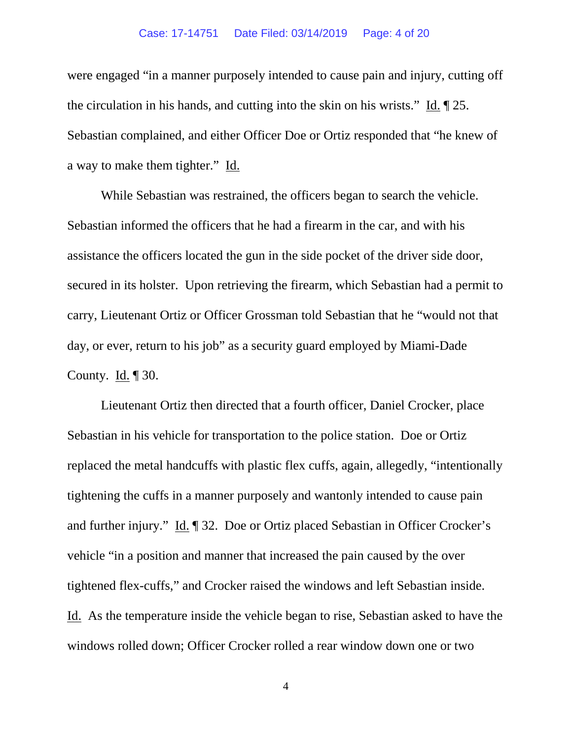### Case: 17-14751 Date Filed: 03/14/2019 Page: 4 of 20

were engaged "in a manner purposely intended to cause pain and injury, cutting off the circulation in his hands, and cutting into the skin on his wrists." Id. ¶ 25. Sebastian complained, and either Officer Doe or Ortiz responded that "he knew of a way to make them tighter." Id.

While Sebastian was restrained, the officers began to search the vehicle. Sebastian informed the officers that he had a firearm in the car, and with his assistance the officers located the gun in the side pocket of the driver side door, secured in its holster. Upon retrieving the firearm, which Sebastian had a permit to carry, Lieutenant Ortiz or Officer Grossman told Sebastian that he "would not that day, or ever, return to his job" as a security guard employed by Miami-Dade County. Id.  $\P$  30.

Lieutenant Ortiz then directed that a fourth officer, Daniel Crocker, place Sebastian in his vehicle for transportation to the police station. Doe or Ortiz replaced the metal handcuffs with plastic flex cuffs, again, allegedly, "intentionally tightening the cuffs in a manner purposely and wantonly intended to cause pain and further injury." Id. ¶ 32. Doe or Ortiz placed Sebastian in Officer Crocker's vehicle "in a position and manner that increased the pain caused by the over tightened flex-cuffs," and Crocker raised the windows and left Sebastian inside. Id. As the temperature inside the vehicle began to rise, Sebastian asked to have the windows rolled down; Officer Crocker rolled a rear window down one or two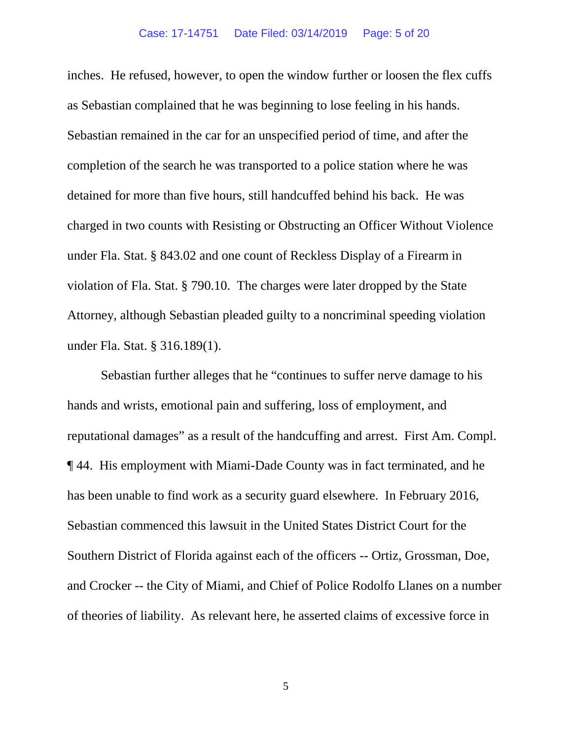inches. He refused, however, to open the window further or loosen the flex cuffs as Sebastian complained that he was beginning to lose feeling in his hands. Sebastian remained in the car for an unspecified period of time, and after the completion of the search he was transported to a police station where he was detained for more than five hours, still handcuffed behind his back. He was charged in two counts with Resisting or Obstructing an Officer Without Violence under Fla. Stat. § 843.02 and one count of Reckless Display of a Firearm in violation of Fla. Stat. § 790.10. The charges were later dropped by the State Attorney, although Sebastian pleaded guilty to a noncriminal speeding violation under Fla. Stat. § 316.189(1).

Sebastian further alleges that he "continues to suffer nerve damage to his hands and wrists, emotional pain and suffering, loss of employment, and reputational damages" as a result of the handcuffing and arrest. First Am. Compl. ¶ 44. His employment with Miami-Dade County was in fact terminated, and he has been unable to find work as a security guard elsewhere. In February 2016, Sebastian commenced this lawsuit in the United States District Court for the Southern District of Florida against each of the officers -- Ortiz, Grossman, Doe, and Crocker -- the City of Miami, and Chief of Police Rodolfo Llanes on a number of theories of liability. As relevant here, he asserted claims of excessive force in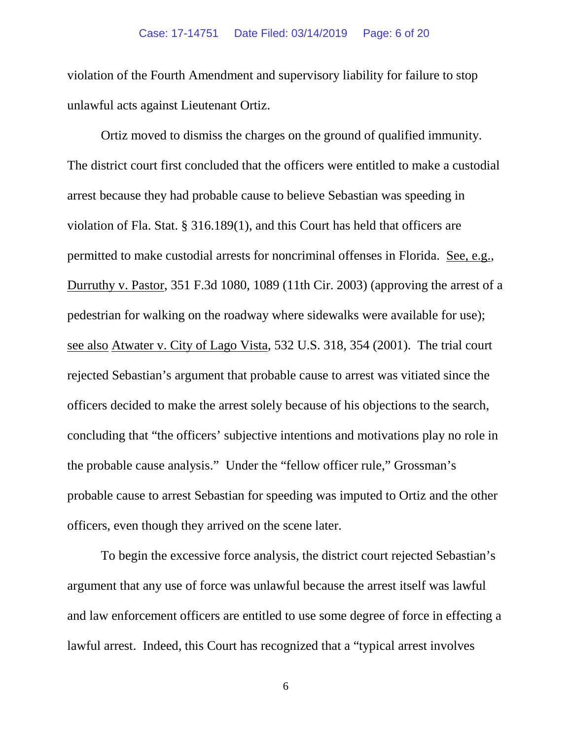violation of the Fourth Amendment and supervisory liability for failure to stop unlawful acts against Lieutenant Ortiz.

Ortiz moved to dismiss the charges on the ground of qualified immunity. The district court first concluded that the officers were entitled to make a custodial arrest because they had probable cause to believe Sebastian was speeding in violation of Fla. Stat. § 316.189(1), and this Court has held that officers are permitted to make custodial arrests for noncriminal offenses in Florida. See, e.g., Durruthy v. Pastor, 351 F.3d 1080, 1089 (11th Cir. 2003) (approving the arrest of a pedestrian for walking on the roadway where sidewalks were available for use); see also Atwater v. City of Lago Vista, 532 U.S. 318, 354 (2001). The trial court rejected Sebastian's argument that probable cause to arrest was vitiated since the officers decided to make the arrest solely because of his objections to the search, concluding that "the officers' subjective intentions and motivations play no role in the probable cause analysis." Under the "fellow officer rule," Grossman's probable cause to arrest Sebastian for speeding was imputed to Ortiz and the other officers, even though they arrived on the scene later.

To begin the excessive force analysis, the district court rejected Sebastian's argument that any use of force was unlawful because the arrest itself was lawful and law enforcement officers are entitled to use some degree of force in effecting a lawful arrest. Indeed, this Court has recognized that a "typical arrest involves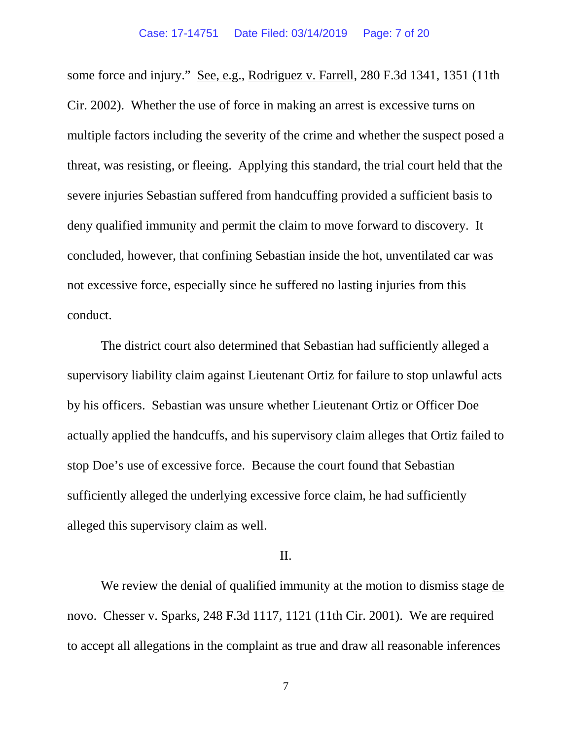some force and injury." See, e.g., Rodriguez v. Farrell, 280 F.3d 1341, 1351 (11th Cir. 2002). Whether the use of force in making an arrest is excessive turns on multiple factors including the severity of the crime and whether the suspect posed a threat, was resisting, or fleeing. Applying this standard, the trial court held that the severe injuries Sebastian suffered from handcuffing provided a sufficient basis to deny qualified immunity and permit the claim to move forward to discovery. It concluded, however, that confining Sebastian inside the hot, unventilated car was not excessive force, especially since he suffered no lasting injuries from this conduct.

The district court also determined that Sebastian had sufficiently alleged a supervisory liability claim against Lieutenant Ortiz for failure to stop unlawful acts by his officers. Sebastian was unsure whether Lieutenant Ortiz or Officer Doe actually applied the handcuffs, and his supervisory claim alleges that Ortiz failed to stop Doe's use of excessive force. Because the court found that Sebastian sufficiently alleged the underlying excessive force claim, he had sufficiently alleged this supervisory claim as well.

## II.

We review the denial of qualified immunity at the motion to dismiss stage de novo. Chesser v. Sparks, 248 F.3d 1117, 1121 (11th Cir. 2001). We are required to accept all allegations in the complaint as true and draw all reasonable inferences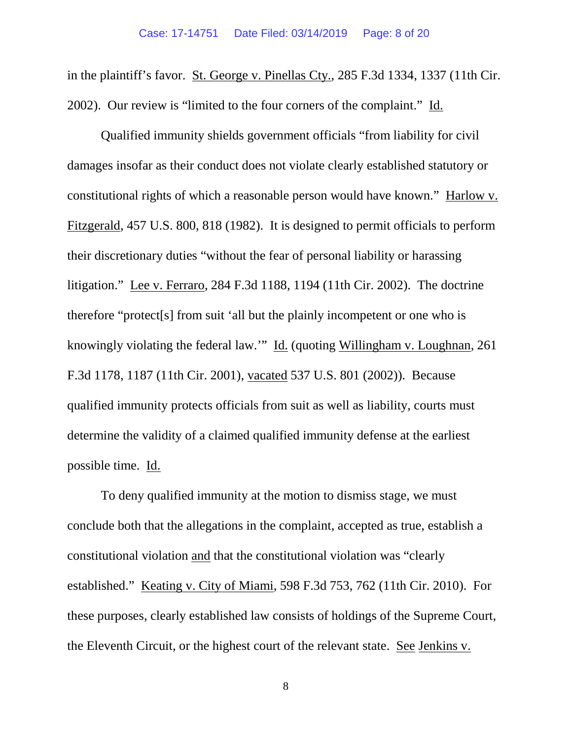in the plaintiff's favor. St. George v. Pinellas Cty., 285 F.3d 1334, 1337 (11th Cir. 2002). Our review is "limited to the four corners of the complaint." Id.

Qualified immunity shields government officials "from liability for civil damages insofar as their conduct does not violate clearly established statutory or constitutional rights of which a reasonable person would have known." Harlow v. Fitzgerald, 457 U.S. 800, 818 (1982). It is designed to permit officials to perform their discretionary duties "without the fear of personal liability or harassing litigation." Lee v. Ferraro, 284 F.3d 1188, 1194 (11th Cir. 2002). The doctrine therefore "protect[s] from suit 'all but the plainly incompetent or one who is knowingly violating the federal law.'" Id. (quoting Willingham v. Loughnan, 261 F.3d 1178, 1187 (11th Cir. 2001), vacated 537 U.S. 801 (2002)). Because qualified immunity protects officials from suit as well as liability, courts must determine the validity of a claimed qualified immunity defense at the earliest possible time. Id.

To deny qualified immunity at the motion to dismiss stage, we must conclude both that the allegations in the complaint, accepted as true, establish a constitutional violation and that the constitutional violation was "clearly established." Keating v. City of Miami, 598 F.3d 753, 762 (11th Cir. 2010). For these purposes, clearly established law consists of holdings of the Supreme Court, the Eleventh Circuit, or the highest court of the relevant state. See Jenkins v.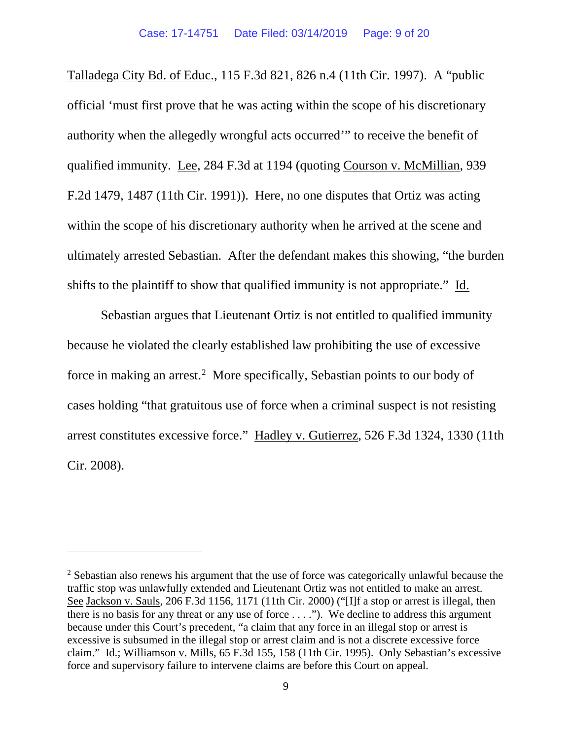Talladega City Bd. of Educ., 115 F.3d 821, 826 n.4 (11th Cir. 1997). A "public official 'must first prove that he was acting within the scope of his discretionary authority when the allegedly wrongful acts occurred'" to receive the benefit of qualified immunity. Lee, 284 F.3d at 1194 (quoting Courson v. McMillian, 939 F.2d 1479, 1487 (11th Cir. 1991)). Here, no one disputes that Ortiz was acting within the scope of his discretionary authority when he arrived at the scene and ultimately arrested Sebastian. After the defendant makes this showing, "the burden shifts to the plaintiff to show that qualified immunity is not appropriate." Id.

Sebastian argues that Lieutenant Ortiz is not entitled to qualified immunity because he violated the clearly established law prohibiting the use of excessive force in making an arrest. [2](#page-8-0) More specifically, Sebastian points to our body of cases holding "that gratuitous use of force when a criminal suspect is not resisting arrest constitutes excessive force." Hadley v. Gutierrez, 526 F.3d 1324, 1330 (11th Cir. 2008).

 $\overline{a}$ 

<span id="page-8-0"></span><sup>&</sup>lt;sup>2</sup> Sebastian also renews his argument that the use of force was categorically unlawful because the traffic stop was unlawfully extended and Lieutenant Ortiz was not entitled to make an arrest. See Jackson v. Sauls, 206 F.3d 1156, 1171 (11th Cir. 2000) ("[I]f a stop or arrest is illegal, then there is no basis for any threat or any use of force  $\dots$ ."). We decline to address this argument because under this Court's precedent, "a claim that any force in an illegal stop or arrest is excessive is subsumed in the illegal stop or arrest claim and is not a discrete excessive force claim." Id.; Williamson v. Mills, 65 F.3d 155, 158 (11th Cir. 1995). Only Sebastian's excessive force and supervisory failure to intervene claims are before this Court on appeal.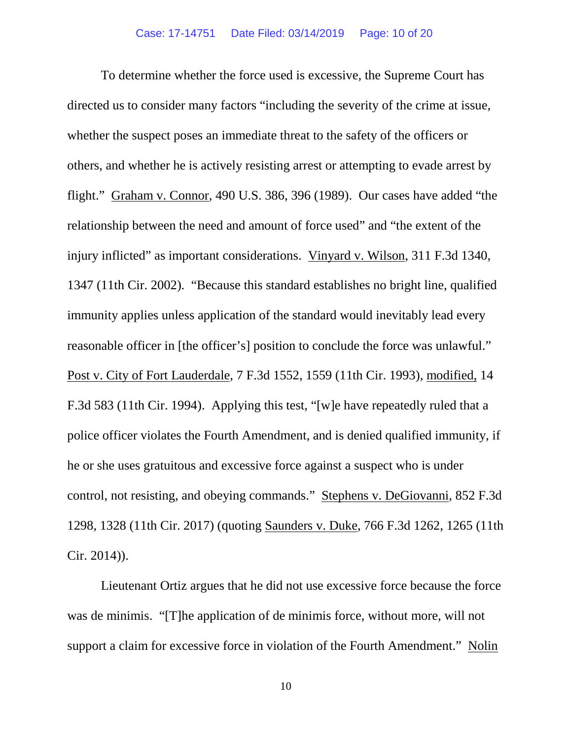To determine whether the force used is excessive, the Supreme Court has directed us to consider many factors "including the severity of the crime at issue, whether the suspect poses an immediate threat to the safety of the officers or others, and whether he is actively resisting arrest or attempting to evade arrest by flight." Graham v. Connor, 490 U.S. 386, 396 (1989). Our cases have added "the relationship between the need and amount of force used" and "the extent of the injury inflicted" as important considerations. Vinyard v. Wilson, 311 F.3d 1340, 1347 (11th Cir. 2002). "Because this standard establishes no bright line, qualified immunity applies unless application of the standard would inevitably lead every reasonable officer in [the officer's] position to conclude the force was unlawful." Post v. City of Fort Lauderdale, 7 F.3d 1552, 1559 (11th Cir. 1993), modified, 14 F.3d 583 (11th Cir. 1994). Applying this test, "[w]e have repeatedly ruled that a police officer violates the Fourth Amendment, and is denied qualified immunity, if he or she uses gratuitous and excessive force against a suspect who is under control, not resisting, and obeying commands." Stephens v. DeGiovanni, 852 F.3d 1298, 1328 (11th Cir. 2017) (quoting Saunders v. Duke, 766 F.3d 1262, 1265 (11th Cir. 2014)).

Lieutenant Ortiz argues that he did not use excessive force because the force was de minimis. "[T]he application of de minimis force, without more, will not support a claim for excessive force in violation of the Fourth Amendment." Nolin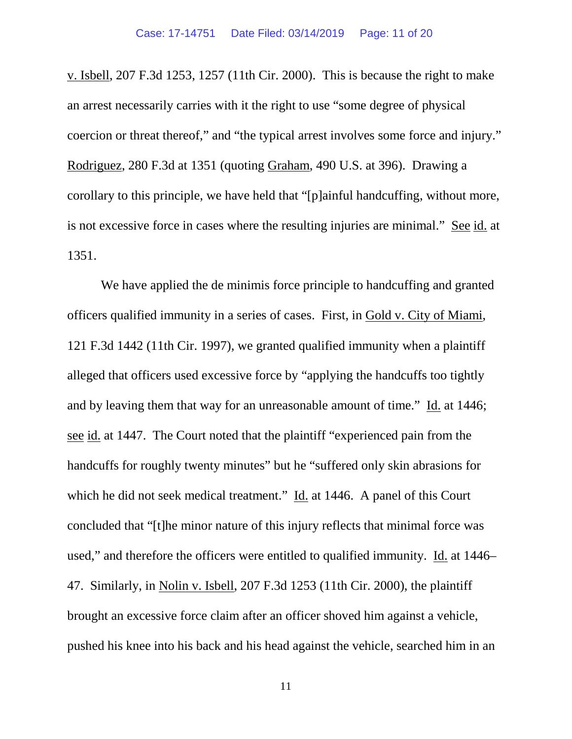v. Isbell, 207 F.3d 1253, 1257 (11th Cir. 2000). This is because the right to make an arrest necessarily carries with it the right to use "some degree of physical coercion or threat thereof," and "the typical arrest involves some force and injury." Rodriguez, 280 F.3d at 1351 (quoting Graham, 490 U.S. at 396). Drawing a corollary to this principle, we have held that "[p]ainful handcuffing, without more, is not excessive force in cases where the resulting injuries are minimal." See id. at 1351.

We have applied the de minimis force principle to handcuffing and granted officers qualified immunity in a series of cases. First, in Gold v. City of Miami, 121 F.3d 1442 (11th Cir. 1997), we granted qualified immunity when a plaintiff alleged that officers used excessive force by "applying the handcuffs too tightly and by leaving them that way for an unreasonable amount of time." Id. at 1446; see id. at 1447. The Court noted that the plaintiff "experienced pain from the handcuffs for roughly twenty minutes" but he "suffered only skin abrasions for which he did not seek medical treatment." Id. at 1446. A panel of this Court concluded that "[t]he minor nature of this injury reflects that minimal force was used," and therefore the officers were entitled to qualified immunity. Id. at 1446– 47. Similarly, in Nolin v. Isbell, 207 F.3d 1253 (11th Cir. 2000), the plaintiff brought an excessive force claim after an officer shoved him against a vehicle, pushed his knee into his back and his head against the vehicle, searched him in an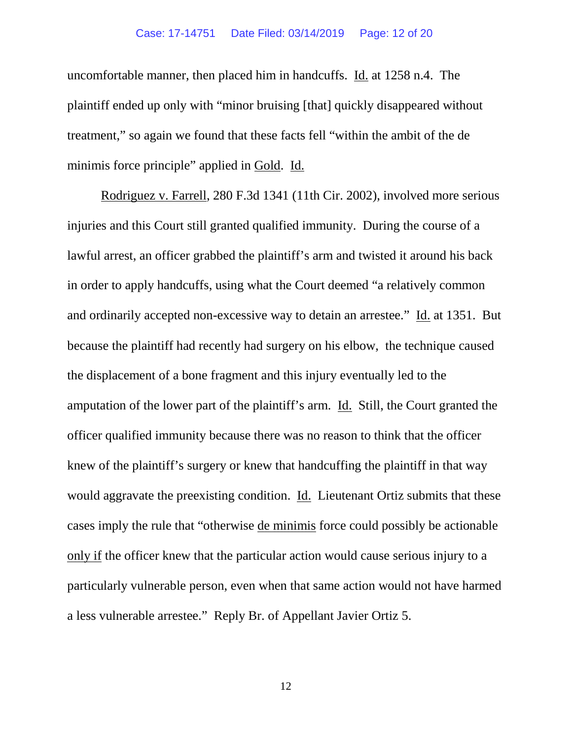### Case: 17-14751 Date Filed: 03/14/2019 Page: 12 of 20

uncomfortable manner, then placed him in handcuffs. Id. at 1258 n.4. The plaintiff ended up only with "minor bruising [that] quickly disappeared without treatment," so again we found that these facts fell "within the ambit of the de minimis force principle" applied in Gold. Id.

Rodriguez v. Farrell, 280 F.3d 1341 (11th Cir. 2002), involved more serious injuries and this Court still granted qualified immunity. During the course of a lawful arrest, an officer grabbed the plaintiff's arm and twisted it around his back in order to apply handcuffs, using what the Court deemed "a relatively common and ordinarily accepted non-excessive way to detain an arrestee." Id. at 1351. But because the plaintiff had recently had surgery on his elbow, the technique caused the displacement of a bone fragment and this injury eventually led to the amputation of the lower part of the plaintiff's arm. Id. Still, the Court granted the officer qualified immunity because there was no reason to think that the officer knew of the plaintiff's surgery or knew that handcuffing the plaintiff in that way would aggravate the preexisting condition. Id. Lieutenant Ortiz submits that these cases imply the rule that "otherwise de minimis force could possibly be actionable only if the officer knew that the particular action would cause serious injury to a particularly vulnerable person, even when that same action would not have harmed a less vulnerable arrestee." Reply Br. of Appellant Javier Ortiz 5.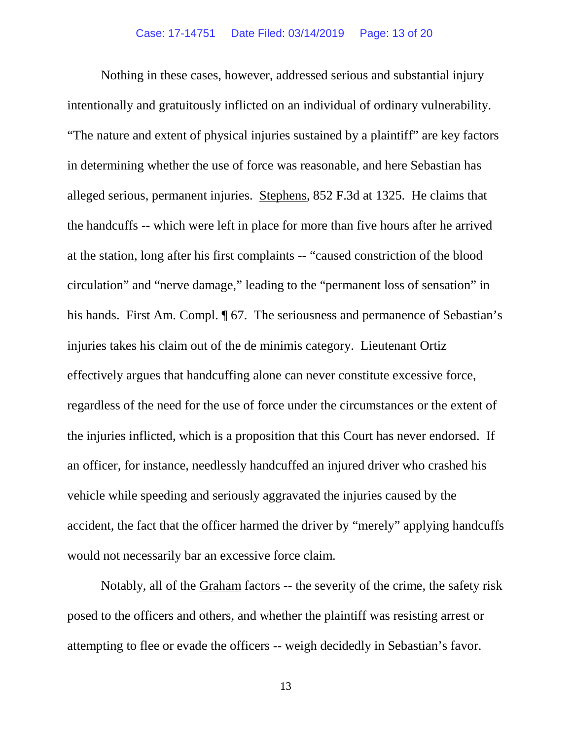Nothing in these cases, however, addressed serious and substantial injury intentionally and gratuitously inflicted on an individual of ordinary vulnerability. "The nature and extent of physical injuries sustained by a plaintiff" are key factors in determining whether the use of force was reasonable, and here Sebastian has alleged serious, permanent injuries. Stephens, 852 F.3d at 1325. He claims that the handcuffs -- which were left in place for more than five hours after he arrived at the station, long after his first complaints -- "caused constriction of the blood circulation" and "nerve damage," leading to the "permanent loss of sensation" in his hands. First Am. Compl.  $\sqrt{ }$  67. The seriousness and permanence of Sebastian's injuries takes his claim out of the de minimis category. Lieutenant Ortiz effectively argues that handcuffing alone can never constitute excessive force, regardless of the need for the use of force under the circumstances or the extent of the injuries inflicted, which is a proposition that this Court has never endorsed. If an officer, for instance, needlessly handcuffed an injured driver who crashed his vehicle while speeding and seriously aggravated the injuries caused by the accident, the fact that the officer harmed the driver by "merely" applying handcuffs would not necessarily bar an excessive force claim.

Notably, all of the Graham factors -- the severity of the crime, the safety risk posed to the officers and others, and whether the plaintiff was resisting arrest or attempting to flee or evade the officers -- weigh decidedly in Sebastian's favor.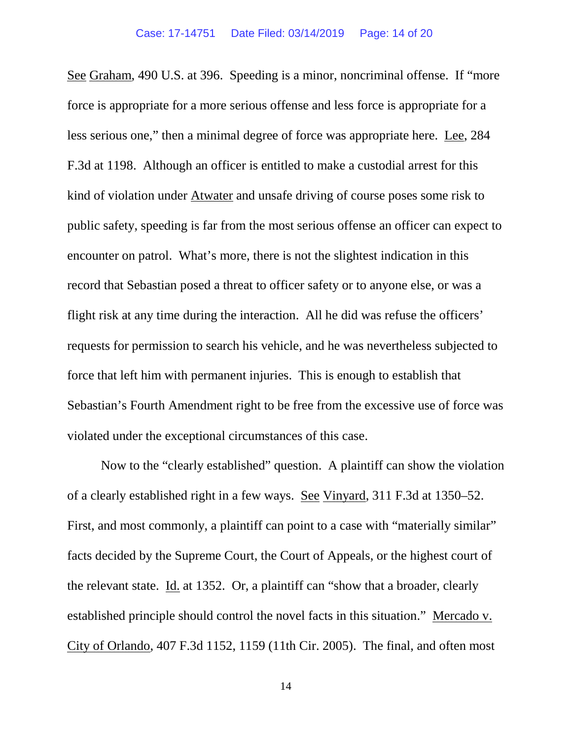See Graham, 490 U.S. at 396. Speeding is a minor, noncriminal offense. If "more force is appropriate for a more serious offense and less force is appropriate for a less serious one," then a minimal degree of force was appropriate here. Lee, 284 F.3d at 1198. Although an officer is entitled to make a custodial arrest for this kind of violation under Atwater and unsafe driving of course poses some risk to public safety, speeding is far from the most serious offense an officer can expect to encounter on patrol. What's more, there is not the slightest indication in this record that Sebastian posed a threat to officer safety or to anyone else, or was a flight risk at any time during the interaction. All he did was refuse the officers' requests for permission to search his vehicle, and he was nevertheless subjected to force that left him with permanent injuries. This is enough to establish that Sebastian's Fourth Amendment right to be free from the excessive use of force was violated under the exceptional circumstances of this case.

Now to the "clearly established" question. A plaintiff can show the violation of a clearly established right in a few ways. See Vinyard, 311 F.3d at 1350–52. First, and most commonly, a plaintiff can point to a case with "materially similar" facts decided by the Supreme Court, the Court of Appeals, or the highest court of the relevant state. Id. at 1352. Or, a plaintiff can "show that a broader, clearly established principle should control the novel facts in this situation." Mercado v. City of Orlando, 407 F.3d 1152, 1159 (11th Cir. 2005). The final, and often most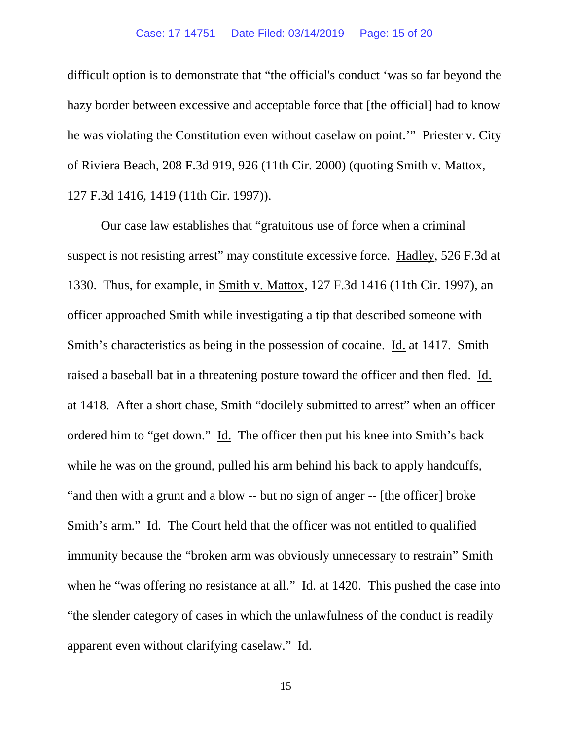### Case: 17-14751 Date Filed: 03/14/2019 Page: 15 of 20

difficult option is to demonstrate that "the official's conduct 'was so far beyond the hazy border between excessive and acceptable force that [the official] had to know he was violating the Constitution even without caselaw on point.'" Priester v. City of Riviera Beach, 208 F.3d 919, 926 (11th Cir. 2000) (quoting Smith v. Mattox, 127 F.3d 1416, 1419 (11th Cir. 1997)).

Our case law establishes that "gratuitous use of force when a criminal suspect is not resisting arrest" may constitute excessive force. Hadley, 526 F.3d at 1330. Thus, for example, in Smith v. Mattox, 127 F.3d 1416 (11th Cir. 1997), an officer approached Smith while investigating a tip that described someone with Smith's characteristics as being in the possession of cocaine. Id. at 1417. Smith raised a baseball bat in a threatening posture toward the officer and then fled. Id. at 1418. After a short chase, Smith "docilely submitted to arrest" when an officer ordered him to "get down." Id. The officer then put his knee into Smith's back while he was on the ground, pulled his arm behind his back to apply handcuffs, "and then with a grunt and a blow -- but no sign of anger -- [the officer] broke Smith's arm." Id. The Court held that the officer was not entitled to qualified immunity because the "broken arm was obviously unnecessary to restrain" Smith when he "was offering no resistance at all." Id. at 1420. This pushed the case into "the slender category of cases in which the unlawfulness of the conduct is readily apparent even without clarifying caselaw." Id.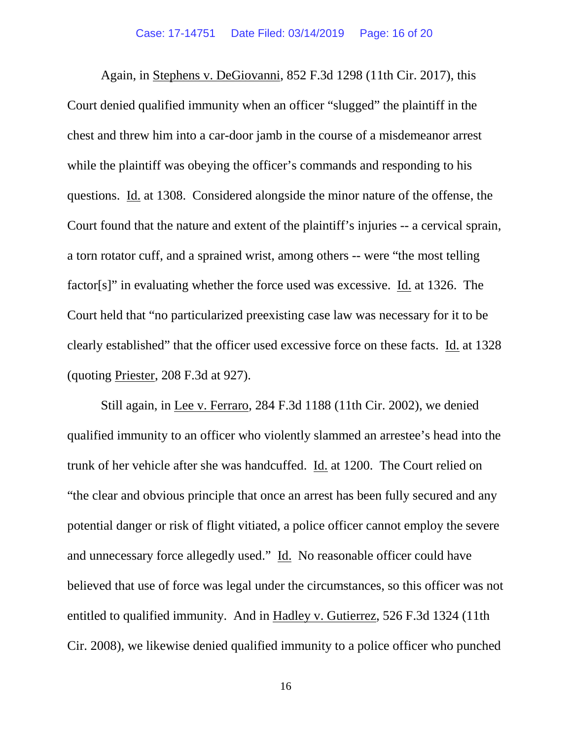Again, in Stephens v. DeGiovanni, 852 F.3d 1298 (11th Cir. 2017), this Court denied qualified immunity when an officer "slugged" the plaintiff in the chest and threw him into a car-door jamb in the course of a misdemeanor arrest while the plaintiff was obeying the officer's commands and responding to his questions. Id. at 1308. Considered alongside the minor nature of the offense, the Court found that the nature and extent of the plaintiff's injuries -- a cervical sprain, a torn rotator cuff, and a sprained wrist, among others -- were "the most telling factor[s]" in evaluating whether the force used was excessive. Id. at 1326. The Court held that "no particularized preexisting case law was necessary for it to be clearly established" that the officer used excessive force on these facts. Id. at 1328 (quoting Priester, 208 F.3d at 927).

Still again, in Lee v. Ferraro, 284 F.3d 1188 (11th Cir. 2002), we denied qualified immunity to an officer who violently slammed an arrestee's head into the trunk of her vehicle after she was handcuffed. Id. at 1200. The Court relied on "the clear and obvious principle that once an arrest has been fully secured and any potential danger or risk of flight vitiated, a police officer cannot employ the severe and unnecessary force allegedly used." Id. No reasonable officer could have believed that use of force was legal under the circumstances, so this officer was not entitled to qualified immunity. And in Hadley v. Gutierrez, 526 F.3d 1324 (11th Cir. 2008), we likewise denied qualified immunity to a police officer who punched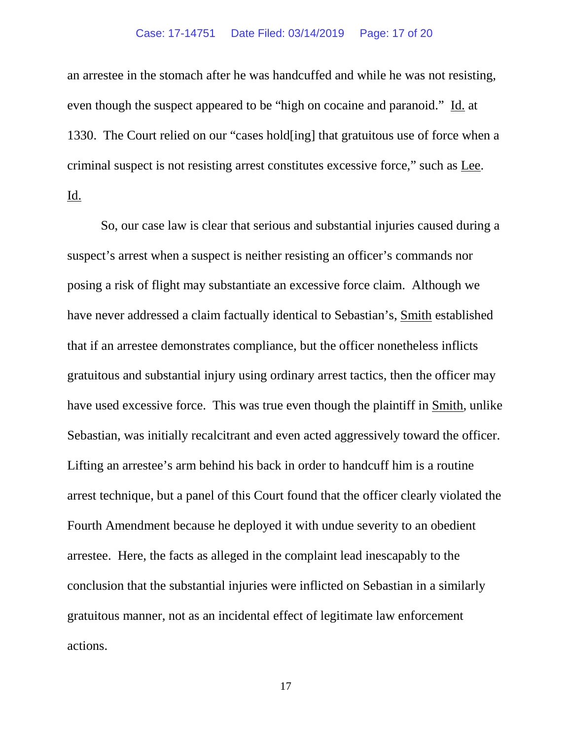### Case: 17-14751 Date Filed: 03/14/2019 Page: 17 of 20

an arrestee in the stomach after he was handcuffed and while he was not resisting, even though the suspect appeared to be "high on cocaine and paranoid." Id. at 1330. The Court relied on our "cases hold[ing] that gratuitous use of force when a criminal suspect is not resisting arrest constitutes excessive force," such as Lee. Id.

So, our case law is clear that serious and substantial injuries caused during a suspect's arrest when a suspect is neither resisting an officer's commands nor posing a risk of flight may substantiate an excessive force claim. Although we have never addressed a claim factually identical to Sebastian's, Smith established that if an arrestee demonstrates compliance, but the officer nonetheless inflicts gratuitous and substantial injury using ordinary arrest tactics, then the officer may have used excessive force. This was true even though the plaintiff in Smith, unlike Sebastian, was initially recalcitrant and even acted aggressively toward the officer. Lifting an arrestee's arm behind his back in order to handcuff him is a routine arrest technique, but a panel of this Court found that the officer clearly violated the Fourth Amendment because he deployed it with undue severity to an obedient arrestee. Here, the facts as alleged in the complaint lead inescapably to the conclusion that the substantial injuries were inflicted on Sebastian in a similarly gratuitous manner, not as an incidental effect of legitimate law enforcement actions.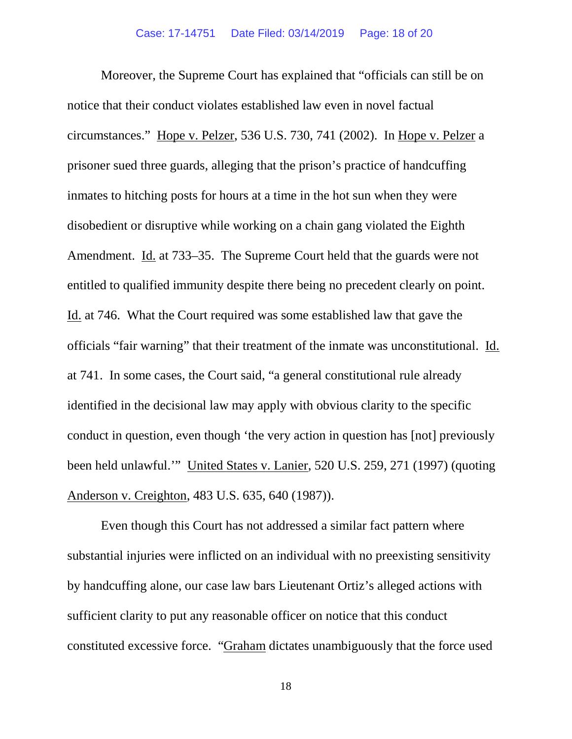Moreover, the Supreme Court has explained that "officials can still be on notice that their conduct violates established law even in novel factual circumstances." Hope v. Pelzer, 536 U.S. 730, 741 (2002). In Hope v. Pelzer a prisoner sued three guards, alleging that the prison's practice of handcuffing inmates to hitching posts for hours at a time in the hot sun when they were disobedient or disruptive while working on a chain gang violated the Eighth Amendment. Id. at 733–35. The Supreme Court held that the guards were not entitled to qualified immunity despite there being no precedent clearly on point. Id. at 746. What the Court required was some established law that gave the officials "fair warning" that their treatment of the inmate was unconstitutional. Id. at 741. In some cases, the Court said, "a general constitutional rule already identified in the decisional law may apply with obvious clarity to the specific conduct in question, even though 'the very action in question has [not] previously been held unlawful.'" United States v. Lanier, 520 U.S. 259, 271 (1997) (quoting Anderson v. Creighton, 483 U.S. 635, 640 (1987)).

Even though this Court has not addressed a similar fact pattern where substantial injuries were inflicted on an individual with no preexisting sensitivity by handcuffing alone, our case law bars Lieutenant Ortiz's alleged actions with sufficient clarity to put any reasonable officer on notice that this conduct constituted excessive force. "Graham dictates unambiguously that the force used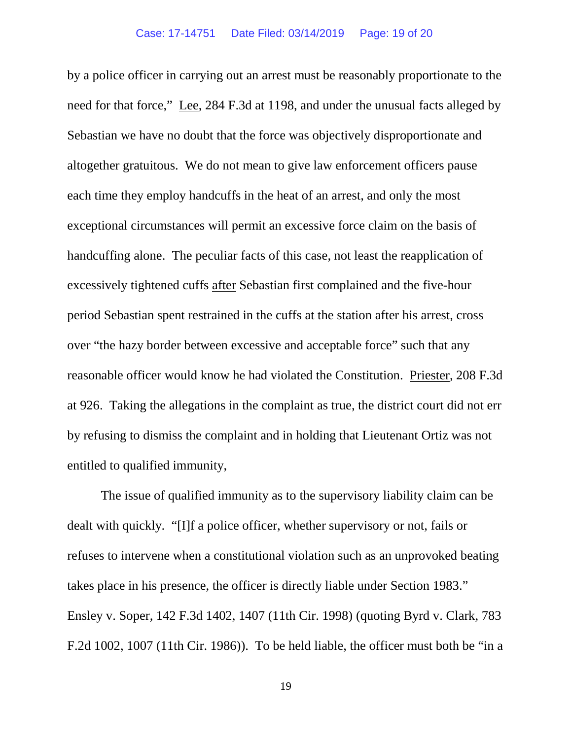by a police officer in carrying out an arrest must be reasonably proportionate to the need for that force," Lee, 284 F.3d at 1198, and under the unusual facts alleged by Sebastian we have no doubt that the force was objectively disproportionate and altogether gratuitous. We do not mean to give law enforcement officers pause each time they employ handcuffs in the heat of an arrest, and only the most exceptional circumstances will permit an excessive force claim on the basis of handcuffing alone. The peculiar facts of this case, not least the reapplication of excessively tightened cuffs after Sebastian first complained and the five-hour period Sebastian spent restrained in the cuffs at the station after his arrest, cross over "the hazy border between excessive and acceptable force" such that any reasonable officer would know he had violated the Constitution. Priester, 208 F.3d at 926. Taking the allegations in the complaint as true, the district court did not err by refusing to dismiss the complaint and in holding that Lieutenant Ortiz was not entitled to qualified immunity,

The issue of qualified immunity as to the supervisory liability claim can be dealt with quickly. "[I]f a police officer, whether supervisory or not, fails or refuses to intervene when a constitutional violation such as an unprovoked beating takes place in his presence, the officer is directly liable under Section 1983." Ensley v. Soper, 142 F.3d 1402, 1407 (11th Cir. 1998) (quoting Byrd v. Clark, 783 F.2d 1002, 1007 (11th Cir. 1986)). To be held liable, the officer must both be "in a